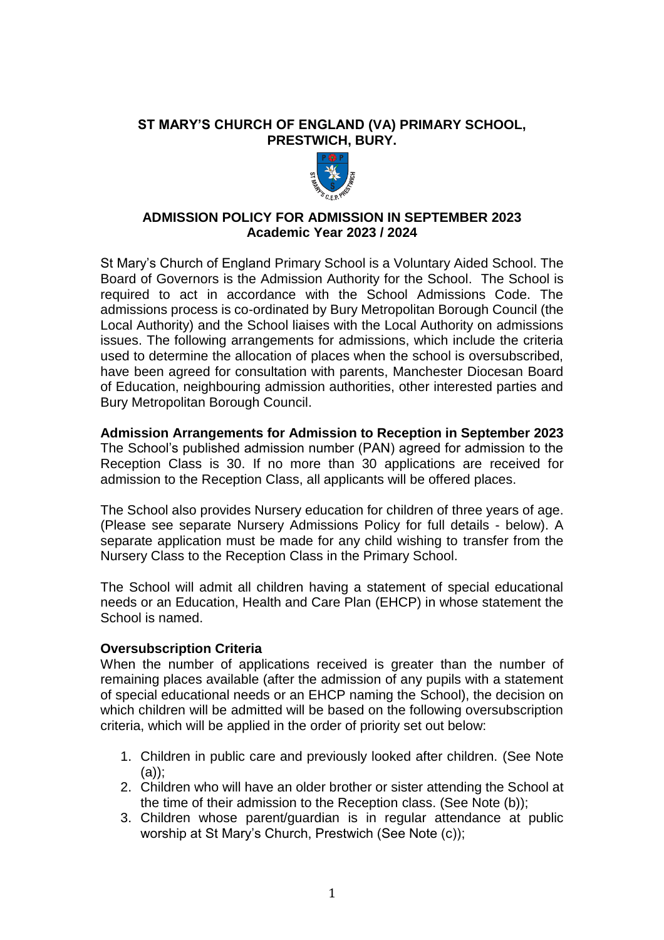## **ST MARY'S CHURCH OF ENGLAND (VA) PRIMARY SCHOOL, PRESTWICH, BURY.**



# **ADMISSION POLICY FOR ADMISSION IN SEPTEMBER 2023 Academic Year 2023 / 2024**

St Mary's Church of England Primary School is a Voluntary Aided School. The Board of Governors is the Admission Authority for the School. The School is required to act in accordance with the School Admissions Code. The admissions process is co-ordinated by Bury Metropolitan Borough Council (the Local Authority) and the School liaises with the Local Authority on admissions issues. The following arrangements for admissions, which include the criteria used to determine the allocation of places when the school is oversubscribed, have been agreed for consultation with parents, Manchester Diocesan Board of Education, neighbouring admission authorities, other interested parties and Bury Metropolitan Borough Council.

### **Admission Arrangements for Admission to Reception in September 2023**

The School's published admission number (PAN) agreed for admission to the Reception Class is 30. If no more than 30 applications are received for admission to the Reception Class, all applicants will be offered places.

The School also provides Nursery education for children of three years of age. (Please see separate Nursery Admissions Policy for full details - below). A separate application must be made for any child wishing to transfer from the Nursery Class to the Reception Class in the Primary School.

The School will admit all children having a statement of special educational needs or an Education, Health and Care Plan (EHCP) in whose statement the School is named.

## **Oversubscription Criteria**

When the number of applications received is greater than the number of remaining places available (after the admission of any pupils with a statement of special educational needs or an EHCP naming the School), the decision on which children will be admitted will be based on the following oversubscription criteria, which will be applied in the order of priority set out below:

- 1. Children in public care and previously looked after children. (See Note (a));
- 2. Children who will have an older brother or sister attending the School at the time of their admission to the Reception class. (See Note (b));
- 3. Children whose parent/guardian is in regular attendance at public worship at St Mary's Church, Prestwich (See Note (c));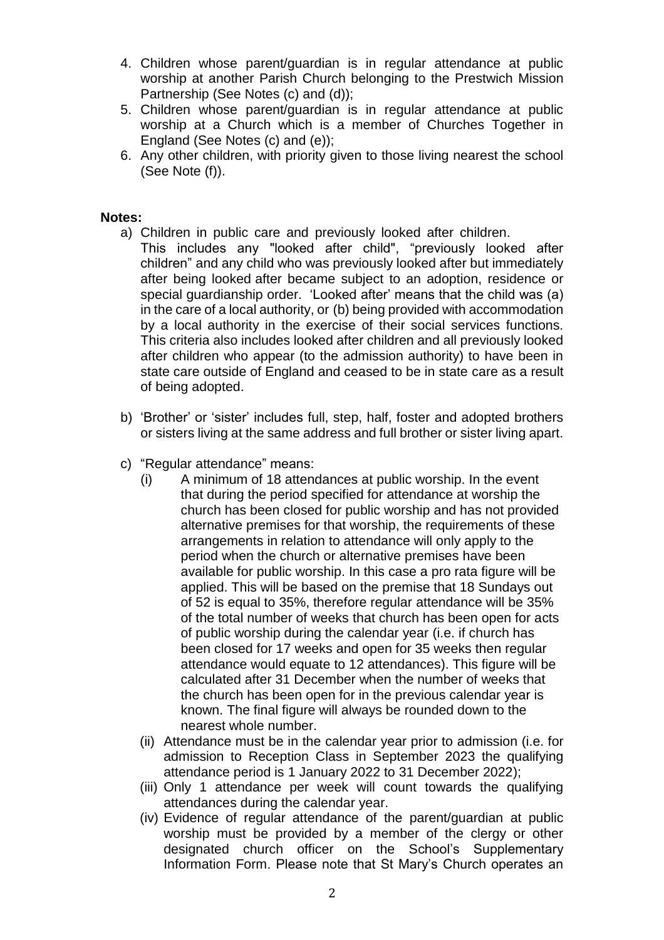- 4. Children whose parent/guardian is in regular attendance at public worship at another Parish Church belonging to the Prestwich Mission Partnership (See Notes (c) and (d));
- 5. Children whose parent/guardian is in regular attendance at public worship at a Church which is a member of Churches Together in England (See Notes (c) and (e));
- 6. Any other children, with priority given to those living nearest the school (See Note (f)).

## **Notes:**

- a) Children in public care and previously looked after children.
- This includes any "looked after child", "previously looked after children" and any child who was previously looked after but immediately after being looked after became subject to an adoption, residence or special guardianship order. 'Looked after' means that the child was (a) in the care of a local authority, or (b) being provided with accommodation by a local authority in the exercise of their social services functions. This criteria also includes looked after children and all previously looked after children who appear (to the admission authority) to have been in state care outside of England and ceased to be in state care as a result of being adopted.
- b) 'Brother' or 'sister' includes full, step, half, foster and adopted brothers or sisters living at the same address and full brother or sister living apart.
- c) "Regular attendance" means:
	- (i) A minimum of 18 attendances at public worship. In the event that during the period specified for attendance at worship the church has been closed for public worship and has not provided alternative premises for that worship, the requirements of these arrangements in relation to attendance will only apply to the period when the church or alternative premises have been available for public worship. In this case a pro rata figure will be applied. This will be based on the premise that 18 Sundays out of 52 is equal to 35%, therefore regular attendance will be 35% of the total number of weeks that church has been open for acts of public worship during the calendar year (i.e. if church has been closed for 17 weeks and open for 35 weeks then regular attendance would equate to 12 attendances). This figure will be calculated after 31 December when the number of weeks that the church has been open for in the previous calendar year is known. The final figure will always be rounded down to the nearest whole number.
	- (ii) Attendance must be in the calendar year prior to admission (i.e. for admission to Reception Class in September 2023 the qualifying attendance period is 1 January 2022 to 31 December 2022);
	- (iii) Only 1 attendance per week will count towards the qualifying attendances during the calendar year.
	- (iv) Evidence of regular attendance of the parent/guardian at public worship must be provided by a member of the clergy or other designated church officer on the School's Supplementary Information Form. Please note that St Mary's Church operates an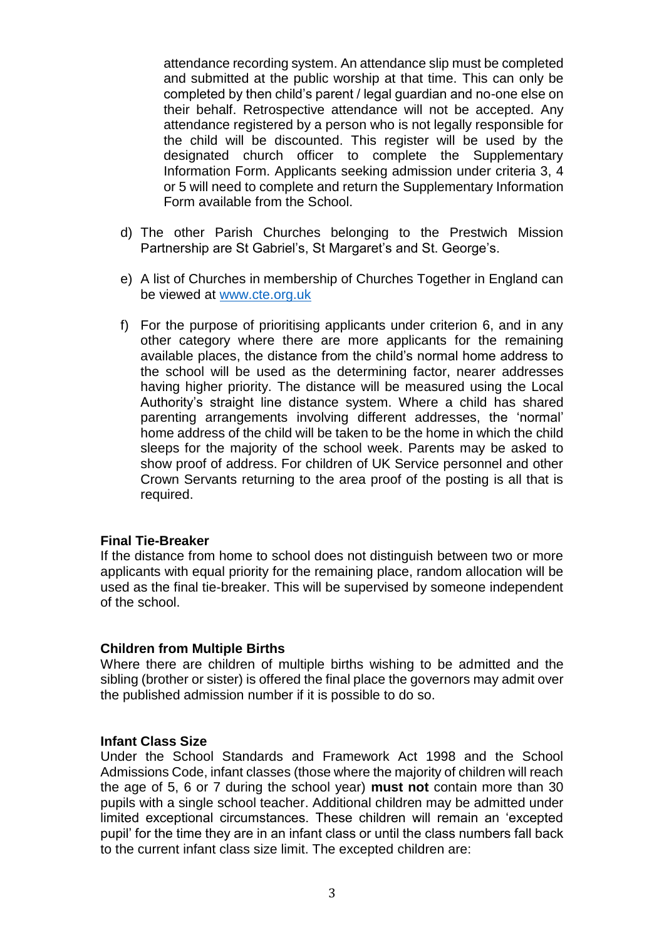attendance recording system. An attendance slip must be completed and submitted at the public worship at that time. This can only be completed by then child's parent / legal guardian and no-one else on their behalf. Retrospective attendance will not be accepted. Any attendance registered by a person who is not legally responsible for the child will be discounted. This register will be used by the designated church officer to complete the Supplementary Information Form. Applicants seeking admission under criteria 3, 4 or 5 will need to complete and return the Supplementary Information Form available from the School.

- d) The other Parish Churches belonging to the Prestwich Mission Partnership are St Gabriel's, St Margaret's and St. George's.
- e) A list of Churches in membership of Churches Together in England can be viewed at [www.cte.org.uk](http://www.cte.org.uk/)
- f) For the purpose of prioritising applicants under criterion 6, and in any other category where there are more applicants for the remaining available places, the distance from the child's normal home address to the school will be used as the determining factor, nearer addresses having higher priority. The distance will be measured using the Local Authority's straight line distance system. Where a child has shared parenting arrangements involving different addresses, the 'normal' home address of the child will be taken to be the home in which the child sleeps for the majority of the school week. Parents may be asked to show proof of address. For children of UK Service personnel and other Crown Servants returning to the area proof of the posting is all that is required.

### **Final Tie-Breaker**

If the distance from home to school does not distinguish between two or more applicants with equal priority for the remaining place, random allocation will be used as the final tie-breaker. This will be supervised by someone independent of the school.

### **Children from Multiple Births**

Where there are children of multiple births wishing to be admitted and the sibling (brother or sister) is offered the final place the governors may admit over the published admission number if it is possible to do so.

### **Infant Class Size**

Under the School Standards and Framework Act 1998 and the School Admissions Code, infant classes (those where the majority of children will reach the age of 5, 6 or 7 during the school year) **must not** contain more than 30 pupils with a single school teacher. Additional children may be admitted under limited exceptional circumstances. These children will remain an 'excepted pupil' for the time they are in an infant class or until the class numbers fall back to the current infant class size limit. The excepted children are: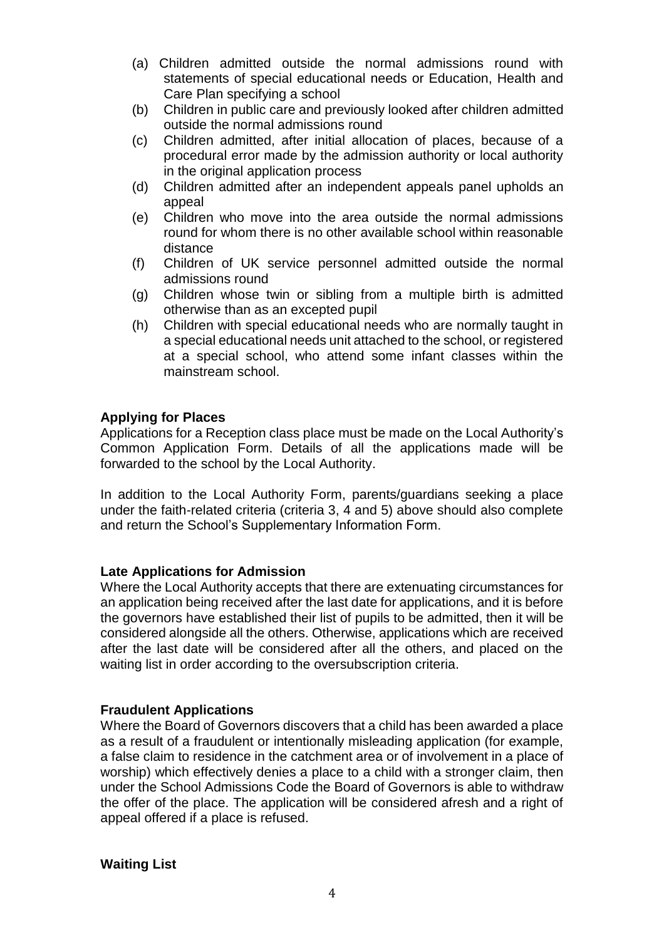- (a) Children admitted outside the normal admissions round with statements of special educational needs or Education, Health and Care Plan specifying a school
- (b) Children in public care and previously looked after children admitted outside the normal admissions round
- (c) Children admitted, after initial allocation of places, because of a procedural error made by the admission authority or local authority in the original application process
- (d) Children admitted after an independent appeals panel upholds an appeal
- (e) Children who move into the area outside the normal admissions round for whom there is no other available school within reasonable distance
- (f) Children of UK service personnel admitted outside the normal admissions round
- (g) Children whose twin or sibling from a multiple birth is admitted otherwise than as an excepted pupil
- (h) Children with special educational needs who are normally taught in a special educational needs unit attached to the school, or registered at a special school, who attend some infant classes within the mainstream school.

## **Applying for Places**

Applications for a Reception class place must be made on the Local Authority's Common Application Form. Details of all the applications made will be forwarded to the school by the Local Authority.

In addition to the Local Authority Form, parents/guardians seeking a place under the faith-related criteria (criteria 3, 4 and 5) above should also complete and return the School's Supplementary Information Form.

## **Late Applications for Admission**

Where the Local Authority accepts that there are extenuating circumstances for an application being received after the last date for applications, and it is before the governors have established their list of pupils to be admitted, then it will be considered alongside all the others. Otherwise, applications which are received after the last date will be considered after all the others, and placed on the waiting list in order according to the oversubscription criteria.

## **Fraudulent Applications**

Where the Board of Governors discovers that a child has been awarded a place as a result of a fraudulent or intentionally misleading application (for example, a false claim to residence in the catchment area or of involvement in a place of worship) which effectively denies a place to a child with a stronger claim, then under the School Admissions Code the Board of Governors is able to withdraw the offer of the place. The application will be considered afresh and a right of appeal offered if a place is refused.

### **Waiting List**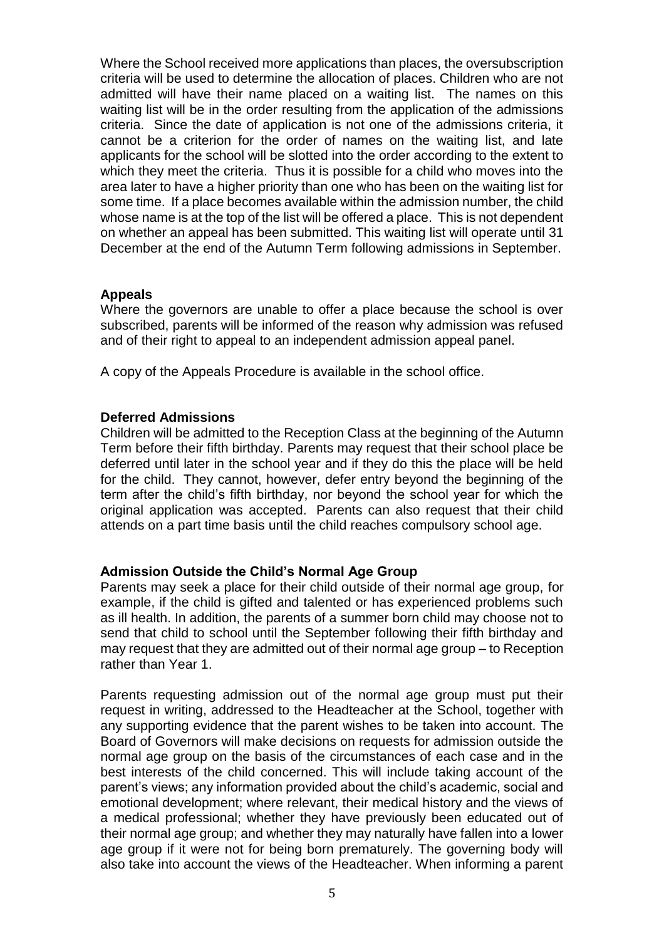Where the School received more applications than places, the oversubscription criteria will be used to determine the allocation of places. Children who are not admitted will have their name placed on a waiting list. The names on this waiting list will be in the order resulting from the application of the admissions criteria. Since the date of application is not one of the admissions criteria, it cannot be a criterion for the order of names on the waiting list, and late applicants for the school will be slotted into the order according to the extent to which they meet the criteria. Thus it is possible for a child who moves into the area later to have a higher priority than one who has been on the waiting list for some time. If a place becomes available within the admission number, the child whose name is at the top of the list will be offered a place. This is not dependent on whether an appeal has been submitted. This waiting list will operate until 31 December at the end of the Autumn Term following admissions in September.

## **Appeals**

Where the governors are unable to offer a place because the school is over subscribed, parents will be informed of the reason why admission was refused and of their right to appeal to an independent admission appeal panel.

A copy of the Appeals Procedure is available in the school office.

### **Deferred Admissions**

Children will be admitted to the Reception Class at the beginning of the Autumn Term before their fifth birthday. Parents may request that their school place be deferred until later in the school year and if they do this the place will be held for the child. They cannot, however, defer entry beyond the beginning of the term after the child's fifth birthday, nor beyond the school year for which the original application was accepted. Parents can also request that their child attends on a part time basis until the child reaches compulsory school age.

## **Admission Outside the Child's Normal Age Group**

Parents may seek a place for their child outside of their normal age group, for example, if the child is gifted and talented or has experienced problems such as ill health. In addition, the parents of a summer born child may choose not to send that child to school until the September following their fifth birthday and may request that they are admitted out of their normal age group – to Reception rather than Year 1.

Parents requesting admission out of the normal age group must put their request in writing, addressed to the Headteacher at the School, together with any supporting evidence that the parent wishes to be taken into account. The Board of Governors will make decisions on requests for admission outside the normal age group on the basis of the circumstances of each case and in the best interests of the child concerned. This will include taking account of the parent's views; any information provided about the child's academic, social and emotional development; where relevant, their medical history and the views of a medical professional; whether they have previously been educated out of their normal age group; and whether they may naturally have fallen into a lower age group if it were not for being born prematurely. The governing body will also take into account the views of the Headteacher. When informing a parent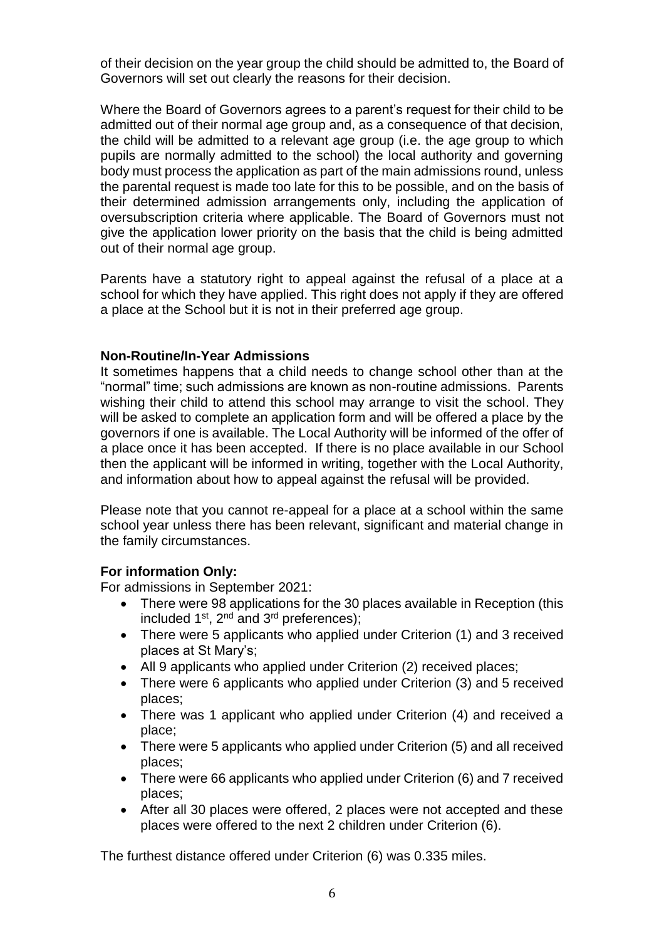of their decision on the year group the child should be admitted to, the Board of Governors will set out clearly the reasons for their decision.

Where the Board of Governors agrees to a parent's request for their child to be admitted out of their normal age group and, as a consequence of that decision, the child will be admitted to a relevant age group (i.e. the age group to which pupils are normally admitted to the school) the local authority and governing body must process the application as part of the main admissions round, unless the parental request is made too late for this to be possible, and on the basis of their determined admission arrangements only, including the application of oversubscription criteria where applicable. The Board of Governors must not give the application lower priority on the basis that the child is being admitted out of their normal age group.

Parents have a statutory right to appeal against the refusal of a place at a school for which they have applied. This right does not apply if they are offered a place at the School but it is not in their preferred age group.

## **Non-Routine/In-Year Admissions**

It sometimes happens that a child needs to change school other than at the "normal" time; such admissions are known as non-routine admissions. Parents wishing their child to attend this school may arrange to visit the school. They will be asked to complete an application form and will be offered a place by the governors if one is available. The Local Authority will be informed of the offer of a place once it has been accepted. If there is no place available in our School then the applicant will be informed in writing, together with the Local Authority, and information about how to appeal against the refusal will be provided.

Please note that you cannot re-appeal for a place at a school within the same school year unless there has been relevant, significant and material change in the family circumstances.

## **For information Only:**

For admissions in September 2021:

- There were 98 applications for the 30 places available in Reception (this included  $1^{st}$ ,  $2^{nd}$  and  $3^{rd}$  preferences);
- There were 5 applicants who applied under Criterion (1) and 3 received places at St Mary's;
- All 9 applicants who applied under Criterion (2) received places;
- There were 6 applicants who applied under Criterion (3) and 5 received places;
- There was 1 applicant who applied under Criterion (4) and received a place;
- There were 5 applicants who applied under Criterion (5) and all received places;
- There were 66 applicants who applied under Criterion (6) and 7 received places;
- After all 30 places were offered, 2 places were not accepted and these places were offered to the next 2 children under Criterion (6).

The furthest distance offered under Criterion (6) was 0.335 miles.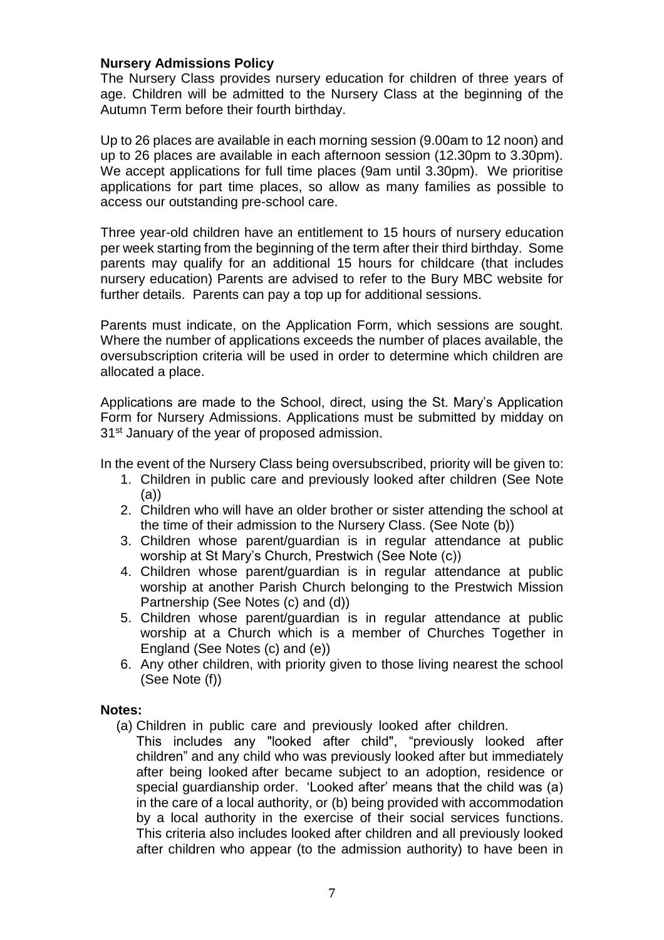## **Nursery Admissions Policy**

The Nursery Class provides nursery education for children of three years of age. Children will be admitted to the Nursery Class at the beginning of the Autumn Term before their fourth birthday.

Up to 26 places are available in each morning session (9.00am to 12 noon) and up to 26 places are available in each afternoon session (12.30pm to 3.30pm). We accept applications for full time places (9am until 3.30pm). We prioritise applications for part time places, so allow as many families as possible to access our outstanding pre-school care.

Three year-old children have an entitlement to 15 hours of nursery education per week starting from the beginning of the term after their third birthday. Some parents may qualify for an additional 15 hours for childcare (that includes nursery education) Parents are advised to refer to the Bury MBC website for further details. Parents can pay a top up for additional sessions.

Parents must indicate, on the Application Form, which sessions are sought. Where the number of applications exceeds the number of places available, the oversubscription criteria will be used in order to determine which children are allocated a place.

Applications are made to the School, direct, using the St. Mary's Application Form for Nursery Admissions. Applications must be submitted by midday on 31<sup>st</sup> January of the year of proposed admission.

In the event of the Nursery Class being oversubscribed, priority will be given to:

- 1. Children in public care and previously looked after children (See Note (a))
- 2. Children who will have an older brother or sister attending the school at the time of their admission to the Nursery Class. (See Note (b))
- 3. Children whose parent/guardian is in regular attendance at public worship at St Mary's Church, Prestwich (See Note (c))
- 4. Children whose parent/guardian is in regular attendance at public worship at another Parish Church belonging to the Prestwich Mission Partnership (See Notes (c) and (d))
- 5. Children whose parent/guardian is in regular attendance at public worship at a Church which is a member of Churches Together in England (See Notes (c) and (e))
- 6. Any other children, with priority given to those living nearest the school (See Note (f))

## **Notes:**

- (a) Children in public care and previously looked after children.
	- This includes any "looked after child", "previously looked after children" and any child who was previously looked after but immediately after being looked after became subject to an adoption, residence or special guardianship order. 'Looked after' means that the child was (a) in the care of a local authority, or (b) being provided with accommodation by a local authority in the exercise of their social services functions. This criteria also includes looked after children and all previously looked after children who appear (to the admission authority) to have been in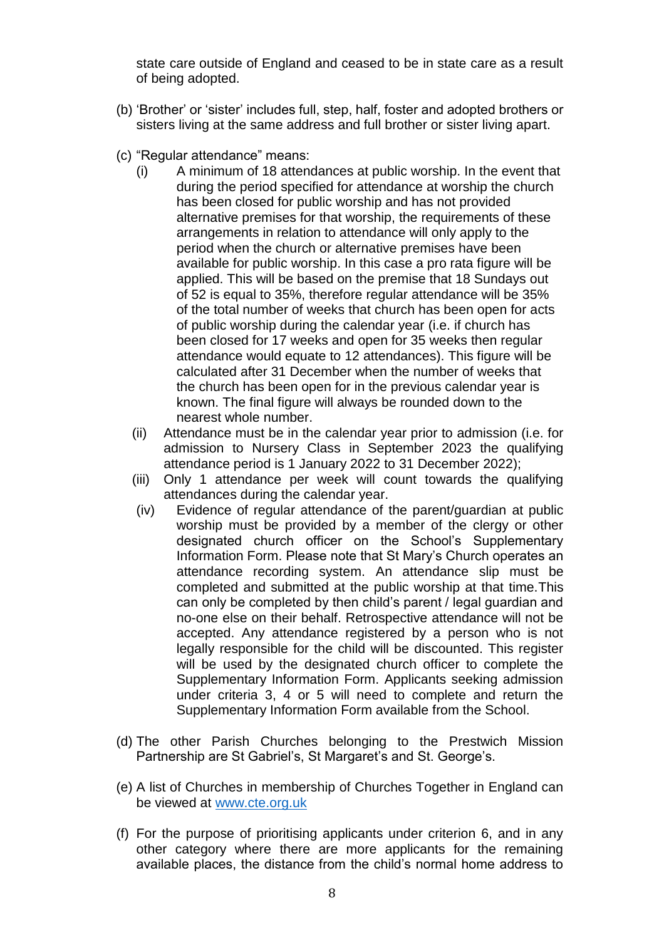state care outside of England and ceased to be in state care as a result of being adopted.

- (b) 'Brother' or 'sister' includes full, step, half, foster and adopted brothers or sisters living at the same address and full brother or sister living apart.
- (c) "Regular attendance" means:
	- (i) A minimum of 18 attendances at public worship. In the event that during the period specified for attendance at worship the church has been closed for public worship and has not provided alternative premises for that worship, the requirements of these arrangements in relation to attendance will only apply to the period when the church or alternative premises have been available for public worship. In this case a pro rata figure will be applied. This will be based on the premise that 18 Sundays out of 52 is equal to 35%, therefore regular attendance will be 35% of the total number of weeks that church has been open for acts of public worship during the calendar year (i.e. if church has been closed for 17 weeks and open for 35 weeks then regular attendance would equate to 12 attendances). This figure will be calculated after 31 December when the number of weeks that the church has been open for in the previous calendar year is known. The final figure will always be rounded down to the nearest whole number.
	- (ii) Attendance must be in the calendar year prior to admission (i.e. for admission to Nursery Class in September 2023 the qualifying attendance period is 1 January 2022 to 31 December 2022);
	- (iii) Only 1 attendance per week will count towards the qualifying attendances during the calendar year.
	- (iv) Evidence of regular attendance of the parent/guardian at public worship must be provided by a member of the clergy or other designated church officer on the School's Supplementary Information Form. Please note that St Mary's Church operates an attendance recording system. An attendance slip must be completed and submitted at the public worship at that time.This can only be completed by then child's parent / legal guardian and no-one else on their behalf. Retrospective attendance will not be accepted. Any attendance registered by a person who is not legally responsible for the child will be discounted. This register will be used by the designated church officer to complete the Supplementary Information Form. Applicants seeking admission under criteria 3, 4 or 5 will need to complete and return the Supplementary Information Form available from the School.
- (d) The other Parish Churches belonging to the Prestwich Mission Partnership are St Gabriel's, St Margaret's and St. George's.
- (e) A list of Churches in membership of Churches Together in England can be viewed at [www.cte.org.uk](http://www.cte.org.uk/)
- (f) For the purpose of prioritising applicants under criterion 6, and in any other category where there are more applicants for the remaining available places, the distance from the child's normal home address to